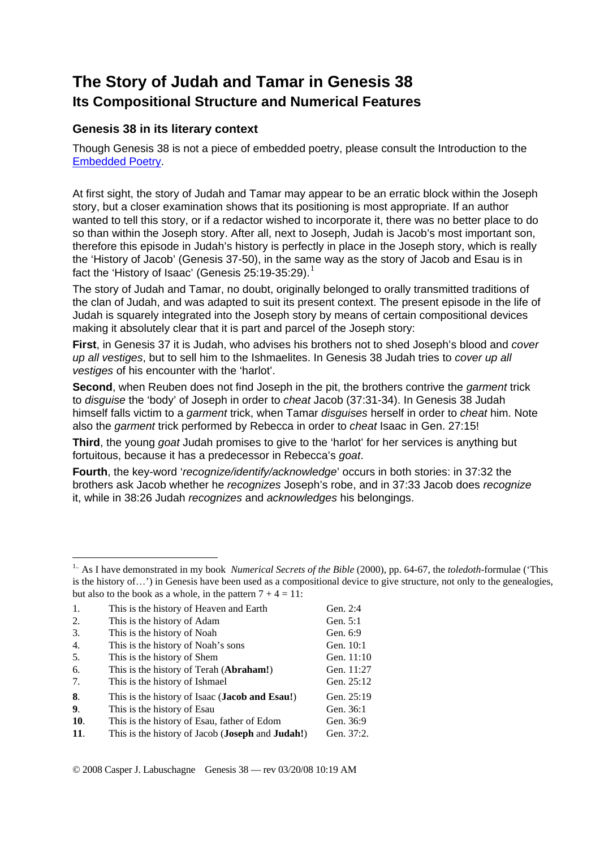## **The Story of Judah and Tamar in Genesis 38 Its Compositional Structure and Numerical Features**

## **Genesis 38 in its literary context**

Though Genesis 38 is not a piece of embedded poetry, please consult the Introduction to the [Embedded Poetry.](http://www.labuschagne.nl/intro.embed.pdf)

At first sight, the story of Judah and Tamar may appear to be an erratic block within the Joseph story, but a closer examination shows that its positioning is most appropriate. If an author wanted to tell this story, or if a redactor wished to incorporate it, there was no better place to do so than within the Joseph story. After all, next to Joseph, Judah is Jacob's most important son, therefore this episode in Judah's history is perfectly in place in the Joseph story, which is really the 'History of Jacob' (Genesis 37-50), in the same way as the story of Jacob and Esau is in fact the 'History of Isaac' (Genesis 25:[1](#page-0-0)9-35:29).<sup>1</sup>

The story of Judah and Tamar, no doubt, originally belonged to orally transmitted traditions of the clan of Judah, and was adapted to suit its present context. The present episode in the life of Judah is squarely integrated into the Joseph story by means of certain compositional devices making it absolutely clear that it is part and parcel of the Joseph story:

**First**, in Genesis 37 it is Judah, who advises his brothers not to shed Joseph's blood and *cover up all vestiges*, but to sell him to the Ishmaelites. In Genesis 38 Judah tries to *cover up all vestiges* of his encounter with the 'harlot'.

**Second**, when Reuben does not find Joseph in the pit, the brothers contrive the *garment* trick to *disguise* the 'body' of Joseph in order to *cheat* Jacob (37:31-34). In Genesis 38 Judah himself falls victim to a *garment* trick, when Tamar *disguises* herself in order to *cheat* him. Note also the *garment* trick performed by Rebecca in order to *cheat* Isaac in Gen. 27:15!

**Third**, the young *goat* Judah promises to give to the 'harlot' for her services is anything but fortuitous, because it has a predecessor in Rebecca's *goat*.

**Fourth**, the key-word '*recognize/identify/acknowledge*' occurs in both stories: in 37:32 the brothers ask Jacob whether he *recognizes* Joseph's robe, and in 37:33 Jacob does *recognize* it, while in 38:26 Judah *recognizes* and *acknowledges* his belongings.

<span id="page-0-0"></span><sup>&</sup>lt;sup>1..</sup> As I have demonstrated in my book *Numerical Secrets of the Bible* (2000), pp. 64-67, the *toledoth*-formulae ('This is the history of…') in Genesis have been used as a compositional device to give structure, not only to the genealogies, but also to the book as a whole, in the pattern  $7 + 4 = 11$ :

| 1.  | This is the history of Heaven and Earth                          | Gen. 2:4   |
|-----|------------------------------------------------------------------|------------|
| 2.  | This is the history of Adam                                      | Gen. 5:1   |
| 3.  | This is the history of Noah                                      | Gen. 6:9   |
| 4.  | This is the history of Noah's sons                               | Gen. 10:1  |
| 5.  | This is the history of Shem                                      | Gen. 11:10 |
| 6.  | This is the history of Terah ( <b>Abraham!</b> )                 | Gen. 11:27 |
| 7.  | This is the history of Ishmael                                   | Gen. 25:12 |
| 8.  | This is the history of Isaac ( <b>Jacob and Esau!</b> )          | Gen. 25:19 |
| 9.  | This is the history of Esau.                                     | Gen. 36:1  |
| 10. | This is the history of Esau, father of Edom                      | Gen. 36:9  |
| 11. | This is the history of Jacob ( <b>Joseph</b> and <b>Judah!</b> ) | Gen. 37:2. |
|     |                                                                  |            |

1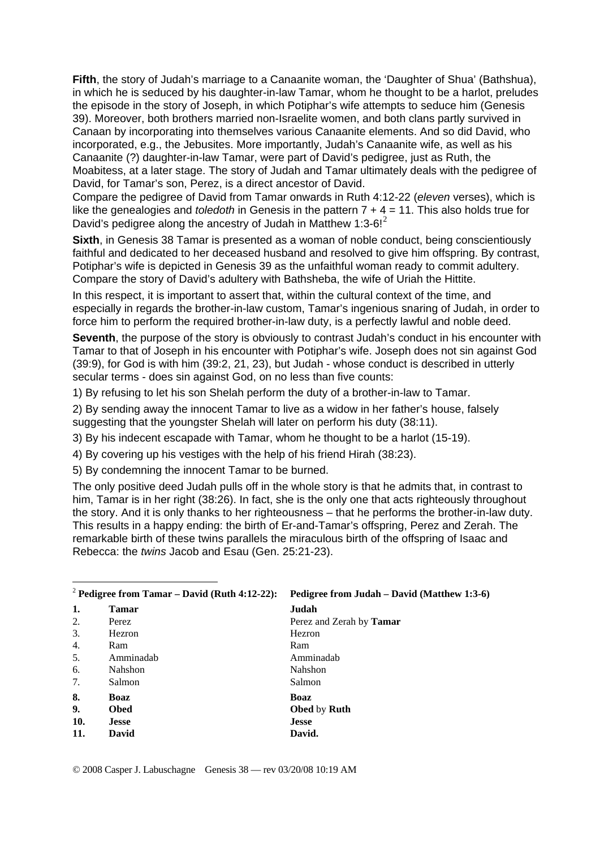**Fifth**, the story of Judah's marriage to a Canaanite woman, the 'Daughter of Shua' (Bathshua), in which he is seduced by his daughter-in-law Tamar, whom he thought to be a harlot, preludes the episode in the story of Joseph, in which Potiphar's wife attempts to seduce him (Genesis 39). Moreover, both brothers married non-Israelite women, and both clans partly survived in Canaan by incorporating into themselves various Canaanite elements. And so did David, who incorporated, e.g., the Jebusites. More importantly, Judah's Canaanite wife, as well as his Canaanite (?) daughter-in-law Tamar, were part of David's pedigree, just as Ruth, the Moabitess, at a later stage. The story of Judah and Tamar ultimately deals with the pedigree of David, for Tamar's son, Perez, is a direct ancestor of David.

Compare the pedigree of David from Tamar onwards in Ruth 4:12-22 (*eleven* verses), which is like the genealogies and *toledoth* in Genesis in the pattern 7 + 4 = 11. This also holds true for David's pedigree along the ancestry of Judah in Matthew 1:3-6! $2$ 

**Sixth**, in Genesis 38 Tamar is presented as a woman of noble conduct, being conscientiously faithful and dedicated to her deceased husband and resolved to give him offspring. By contrast, Potiphar's wife is depicted in Genesis 39 as the unfaithful woman ready to commit adultery. Compare the story of David's adultery with Bathsheba, the wife of Uriah the Hittite.

In this respect, it is important to assert that, within the cultural context of the time, and especially in regards the brother-in-law custom, Tamar's ingenious snaring of Judah, in order to force him to perform the required brother-in-law duty, is a perfectly lawful and noble deed.

**Seventh**, the purpose of the story is obviously to contrast Judah's conduct in his encounter with Tamar to that of Joseph in his encounter with Potiphar's wife. Joseph does not sin against God (39:9), for God is with him (39:2, 21, 23), but Judah - whose conduct is described in utterly secular terms - does sin against God, on no less than five counts:

1) By refusing to let his son Shelah perform the duty of a brother-in-law to Tamar.

2) By sending away the innocent Tamar to live as a widow in her father's house, falsely suggesting that the youngster Shelah will later on perform his duty (38:11).

3) By his indecent escapade with Tamar, whom he thought to be a harlot (15-19).

4) By covering up his vestiges with the help of his friend Hirah (38:23).

5) By condemning the innocent Tamar to be burned.

The only positive deed Judah pulls off in the whole story is that he admits that, in contrast to him, Tamar is in her right (38:26). In fact, she is the only one that acts righteously throughout the story. And it is only thanks to her righteousness – that he performs the brother-in-law duty. This results in a happy ending: the birth of Er-and-Tamar's offspring, Perez and Zerah. The remarkable birth of these twins parallels the miraculous birth of the offspring of Isaac and Rebecca: the *twins* Jacob and Esau (Gen. 25:21-23).

<span id="page-1-0"></span>

| <sup>2</sup> Pedigree from Tamar – David (Ruth 4:12-22): |                | Pedigree from Judah – David (Matthew 1:3-6) |  |
|----------------------------------------------------------|----------------|---------------------------------------------|--|
| 1.                                                       | <b>Tamar</b>   | Judah                                       |  |
| 2.                                                       | Perez          | Perez and Zerah by <b>Tamar</b>             |  |
| 3.                                                       | <b>Hezron</b>  | Hezron                                      |  |
| 4.                                                       | Ram            | Ram                                         |  |
| 5.                                                       | Amminadab      | Amminadah                                   |  |
| 6.                                                       | <b>Nahshon</b> | <b>Nahshon</b>                              |  |
| 7.                                                       | Salmon         | Salmon                                      |  |
| 8.                                                       | Boaz           | Boaz                                        |  |
| 9.                                                       | <b>Obed</b>    | <b>Obed</b> by <b>Ruth</b>                  |  |
| 10.                                                      | <b>Jesse</b>   | <b>Jesse</b>                                |  |
| 11.                                                      | David          | David.                                      |  |